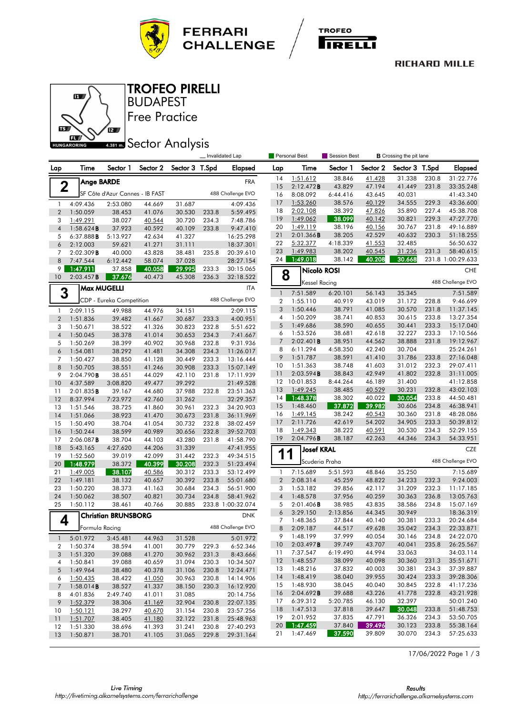



#### **RICHARD MILLE**



Free Practice BUDAPEST TROFEO PIRELLI

# **ABBI Sector Analysis**

|                |                       |                                 |                  |                  |       | Invalidated Lap        |                | Personal Best<br>Session Best<br><b>B</b> Crossing the pit lane |                  |                  |                  |                |                        |
|----------------|-----------------------|---------------------------------|------------------|------------------|-------|------------------------|----------------|-----------------------------------------------------------------|------------------|------------------|------------------|----------------|------------------------|
| Lap            | <b>Time</b>           | Sector 1                        | Sector 2         | Sector 3 T.Spd   |       | <b>Elapsed</b>         | Lap            | Time                                                            | Sector 1         | Sector 2         | Sector 3 T.Spd   |                | <b>Elapsed</b>         |
|                | <b>Ange BARDE</b>     |                                 |                  |                  |       | <b>FRA</b>             | 14             | 1:51.612                                                        | 38.846           | 41.428           | 31.338           | 230.8          | 31:22.776              |
| $\mathbf 2$    |                       |                                 |                  |                  |       |                        | 15             | 2:12.472B                                                       | 43.829           | 47.194           | 41.449           | 231.8          | 33:35.248              |
|                |                       | SF Côte d'Azur Cannes - IB FAST |                  |                  |       | 488 Challenge EVO      | 16             | 8:08.092                                                        | 6:44.416         | 43.645           | 40.031           |                | 41:43.340              |
| 1              | 4:09.436              | 2:53.080                        | 44.669           | 31.687           |       | 4:09.436               | 17             | 1:53.260                                                        | 38.576           | 40.129           | 34.555           | 229.3          | 43:36.600              |
| $\overline{2}$ | 1:50.059              | 38.453                          | 41.076           | 30.530           | 233.8 | 5:59.495               | 18             | 2:02.108                                                        | 38.392           | 47.826           | 35.890           | 227.4          | 45:38.708              |
| 3              | 1:49.291              | 38.027                          | 40.544           | 30.720           | 234.3 | 7:48.786               | 19<br>20       | 1:49.062<br>1:49.119                                            | 38.099<br>38.196 | 40.142           | 30.821           | 229.3<br>231.8 | 47:27.770<br>49:16.889 |
| $\overline{4}$ | 1:58.624B             | 37.923                          | 40.592           | 40.109           | 233.8 | 9:47.410               | 21             | 2:01.366B                                                       | 38.205           | 40.156<br>42.529 | 30.767<br>40.632 | 230.3          | 51:18.255              |
| 5              | 6:37.888B             | 5:13.927                        | 42.634           | 41.327           |       | 16:25.298              | 22             | 5:32.377                                                        | 4:18.339         | 41.553           | 32.485           |                | 56:50.632              |
| 6              | 2:12.003              | 59.621                          | 41.271           | 31.111           |       | 18:37.301              | 23             | 1:49.983                                                        | 38.202           | 40.545           | 31.236           | 231.3          | 58:40.615              |
| 7              | 2:02.309B<br>7:47.544 | 40.000                          | 43.828           | 38.481           | 235.8 | 20:39.610              | 24             | 1:49.018                                                        | 38.142           | 40.208           | 30.668           |                | 231.8 1:00:29.633      |
| 8<br>9         |                       | 6:12.442<br>37.858              | 58.074           | 37.028<br>29.995 | 233.3 | 28:27.154<br>30:15.065 |                |                                                                 |                  |                  |                  |                |                        |
| 10             | 1:47.911<br>2:03.457B | 37.676                          | 40.058<br>40.473 | 45.308           | 236.3 | 32:18.522              | 8              | Nicolò ROSI                                                     |                  |                  |                  |                | <b>CHE</b>             |
|                |                       | <b>Max MUGELLI</b>              |                  |                  |       | <b>ITA</b>             |                | <b>Kessel Racing</b>                                            |                  |                  |                  |                | 488 Challenge EVO      |
| 3              |                       |                                 |                  |                  |       |                        | $\mathbf{1}$   | 7:51.589                                                        | 6:20.101         | 56.143           | 35.345           |                | 7:51.589               |
|                |                       | CDP - Eureka Competition        |                  |                  |       | 488 Challenge EVO      | $\overline{2}$ | 1:55.110                                                        | 40.919           | 43.019           | 31.172           | 228.8          | 9:46.699               |
| 1              | 2:09.115              | 49.988                          | 44.976           | 34.151           |       | 2:09.115               | 3              | 1:50.446                                                        | 38.791           | 41.085           | 30.570           | 231.8          | 11:37.145              |
| $\overline{2}$ | 1:51.836              | 39.482                          | 41.667           | 30.687           | 233.3 | 4:00.951               | 4<br>5         | 1:50.209                                                        | 38.741           | 40.853           | 30.615           | 233.8          | 13:27.354              |
| 3              | 1:50.671              | 38.522                          | 41.326           | 30.823           | 232.8 | 5:51.622               | 6              | 1:49.686<br>1:53.526                                            | 38.590<br>38.681 | 40.655<br>42.618 | 30.441<br>32.227 | 233.3<br>233.3 | 15:17.040<br>17:10.566 |
| $\overline{4}$ | 1:50.045              | 38.378                          | 41.014           | 30.653           | 234.3 | 7:41.667               | $\overline{7}$ | 2:02.401B                                                       | 38.951           | 44.562           | 38.888           | 231.8          | 19:12.967              |
| 5              | 1:50.269              | 38.399                          | 40.902           | 30.968           | 232.8 | 9:31.936               | 8              | 6:11.294                                                        | 4:58.350         | 42.240           | 30.704           |                | 25:24.261              |
| 6              | 1:54.081              | 38.292                          | 41.481           | 34.308           | 234.3 | 11:26.017              | 9              | 1:51.787                                                        | 38.591           | 41.410           | 31.786           | 233.8          | 27:16.048              |
| 7<br>8         | 1:50.427<br>1:50.705  | 38.850                          | 41.128           | 30.449           | 233.3 | 13:16.444              | 10             | 1:51.363                                                        | 38.748           | 41.603           | 31.012           | 232.3          | 29:07.411              |
|                |                       | 38.551                          | 41.246           | 30.908           | 233.3 | 15:07.149              | 11             | 2:03.594B                                                       | 38.843           | 42.949           | 41.802           | 232.8          | 31:11.005              |
| 9<br>10        | 2:04.790B<br>4:37.589 | 38.651<br>3:08.820              | 44.029<br>49.477 | 42.110<br>39.292 | 231.8 | 17:11.939<br>21:49.528 | 12             | 10:01.853                                                       | 8:44.264         | 46.189           | 31.400           |                | 41:12.858              |
| 11             | 2:01.835B             | 39.167                          | 44.680           | 37.988           | 232.8 | 23:51.363              | 13             | 1:49.245                                                        | 38.485           | 40.529           | 30.231           | 232.8          | 43:02.103              |
| 12             | 8:37.994              | 7:23.972                        | 42.760           | 31.262           |       | 32:29.357              | 14             | 1:48.378                                                        | 38.302           | 40.022           | 30.054           | 233.8          | 44:50.481              |
| 13             | 1:51.546              | 38.725                          | 41.860           | 30.961           | 232.3 | 34:20.903              | 15             | 1:48.460                                                        | 37.872           | 39.982           | 30.606           | 234.8          | 46:38.941              |
| 14             | 1:51.066              | 38.923                          | 41.470           | 30.673           | 231.8 | 36:11.969              | 16             | 1:49.145                                                        | 38.242           | 40.543           | 30.360           | 231.8          | 48:28.086              |
| 15             | 1:50.490              | 38.704                          | 41.054           | 30.732           | 232.8 | 38:02.459              | 17             | 2:11.726                                                        | 42.619           | 54.202           | 34.905           | 233.3          | 50:39.812              |
| 16             | 1:50.244              | 38.599                          | 40.989           | 30.656           | 232.8 | 39:52.703              | 18             | 1:49.343                                                        | 38.222           | 40.591           | 30.530           | 234.3          | 52:29.155              |
| 17             | 2:06.087B             | 38.704                          | 44.103           | 43.280           | 231.8 | 41:58.790              | 19             | 2:04.796B                                                       | 38.187           | 42.263           | 44.346           | 234.3          | 54:33.951              |
| 18             | 5:43.165              | 4:27.620                        | 44.206           | 31.339           |       | 47:41.955              |                | <b>Josef KRAL</b>                                               |                  |                  |                  |                | <b>CZE</b>             |
| 19             | 1:52.560              | 39.019                          | 42.099           | 31.442           | 232.3 | 49:34.515              | 1              | 1                                                               |                  |                  |                  |                |                        |
| 20             | 1:48.979              | 38.372                          | 40.399           | 30.208           | 232.3 | 51:23.494              |                | Scuderia Praha                                                  |                  |                  |                  |                | 488 Challenge EVO      |
| 21             | 1:49.005              | 38.107                          | 40.586           | 30.312           | 233.3 | 53:12.499              | 1              | 7:15.689                                                        | 5:51.593         | 48.846           | 35.250           |                | 7:15.689               |
| 22             | 1:49.181              | 38.132                          | 40.657           | 30.392           | 233.8 | 55:01.680              | $\overline{2}$ | 2:08.314                                                        | 45.259           | 48.822           | 34.233           | 232.3          | 9:24.003               |
| 23             | 1:50.220              | 38.373                          | 41.163           | 30.684           | 234.3 | 56:51.900              | 3              | 1:53.182                                                        | 39.856           | 42.117           | 31.209           | 232.3          | 11:17.185              |
| 24             | 1:50.062              | 38.507                          | 40.821           | 30.734           | 234.8 | 58:41.962              | $\overline{4}$ | 1:48.578                                                        | 37.956           | 40.259           | 30.363           | 236.8          | 13:05.763              |
| 25             | 1:50.112              | 38.461                          | 40.766           | 30.885           |       | 233.8 1:00:32.074      | 5              | 2:01.406B                                                       | 38.985           | 43.835           | 38.586           | 234.8          | 15:07.169              |
|                |                       | <b>Christian BRUNSBORG</b>      |                  |                  |       | <b>DNK</b>             | 6              | 3:29.150                                                        | 2:13.856         | 44.345           | 30.949           |                | 18:36.319              |
| 4              |                       |                                 |                  |                  |       |                        | $\overline{7}$ | 1:48.365                                                        | 37.844           | 40.140           | 30.381           | 233.3          | 20:24.684              |
|                | Formula Racing        |                                 |                  |                  |       | 488 Challenge EVO      | 8              | 2:09.187                                                        | 44.517           | 49.628           | 35.042           | 234.3          | 22:33.871              |
| $\mathbf{1}$   | 5:01.972              | 3:45.481                        | 44.963           | 31.528           |       | 5:01.972               | 9              | 1:48.199                                                        | 37.999           | 40.054           | 30.146           | 234.8          | 24:22.070              |
| 2              | 1:50.374              | 38.594                          | 41.001           | 30.779           | 229.3 | 6:52.346               | 10             | 2:03.497 <b>B</b>                                               | 39.749           | 43.707           | 40.041           | 235.8          | 26:25.567              |
| 3              | 1:51.320              | 39.088                          | 41.270           | 30.962           | 231.3 | 8:43.666               | 11             | 7:37.547                                                        | 6:19.490         | 44.994           | 33.063           |                | 34:03.114              |
| 4              | 1:50.841              | 39.088                          | 40.659           | 31.094           | 230.3 | 10:34.507              | 12             | 1:48.557                                                        | 38.099           | 40.098           | 30.360           | 231.3          | 35:51.671              |
| 5              | 1:49.964              | 38.480                          | 40.378           | 31.106           | 230.8 | 12:24.471              | 13             | 1:48.216                                                        | 37.832           | 40.003           | 30.381           | 234.3          | 37:39.887              |
| 6              | 1:50.435              | 38.422                          | 41.050           | 30.963           | 230.8 | 14:14.906              | 14             | 1:48.419                                                        | 38.040           | 39.955           | 30.424           | 233.3          | 39:28.306              |
| $\overline{7}$ | 1:58.014B             | 38.527                          | 41.337           | 38.150           | 230.3 | 16:12.920              | 15             | 1:48.930                                                        | 38.045           | 40.040           | 30.845           | 232.8          | 41:17.236              |
| 8              | 4:01.836              | 2:49.740                        | 41.011           | 31.085           |       | 20:14.756              | 16             | 2:04.692B                                                       | 39.688           | 43.226           | 41.778           | 232.8          | 43:21.928              |
| 9              | 1:52.379              | 38.306                          | 41.169           | 32.904           | 230.8 | 22:07.135              | 17             | 6:39.312                                                        | 5:20.785         | 46.130           | 32.397<br>30.048 |                | 50:01.240              |
| 10             | 1:50.121              | 38.297                          | 40.670           | 31.154           | 230.8 | 23:57.256              | 18<br>19       | 1:47.513<br>2:01.952                                            | 37.818<br>37.835 | 39.647<br>47.791 |                  | 233.8          | 51:48.753              |
| 11             | 1:51.707              | 38.405                          | 41.180           | 32.122           | 231.8 | 25:48.963              | 20             | 1:47.459                                                        | 37.840           | 39.496           | 36.326<br>30.123 | 234.3<br>233.8 | 53:50.705<br>55:38.164 |
| 12             | 1:51.330              | 38.696                          | 41.393           | 31.241           | 230.8 | 27:40.293              | 21             | 1:47.469                                                        | 37.590           | 39.809           | 30.070           | 234.3          | 57:25.633              |
| 13             | 1:50.871              | 38.701                          | 41.105           | 31.065           | 229.8 | 29:31.164              |                |                                                                 |                  |                  |                  |                |                        |

17/06/2022 Page 1 / 3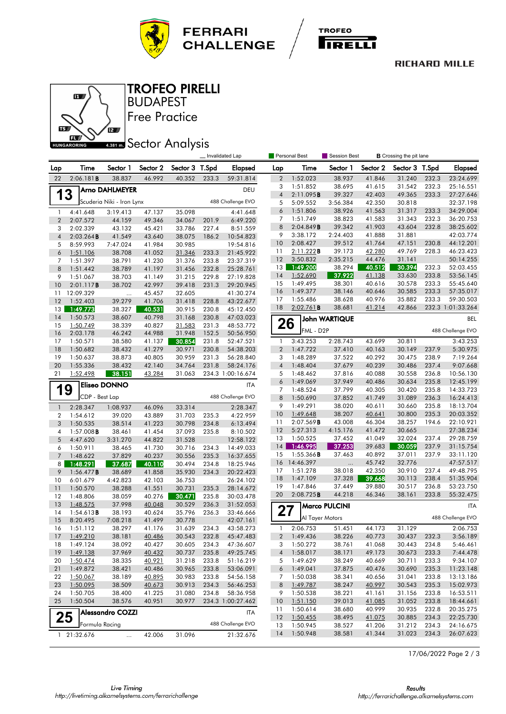



#### **RICHARD MILLE**



Free Practice BUDAPEST TROFEO PIRELLI

# **ABBI Sector Analysis**

|                     |                       |                           |                         |                  | Invalidated Lap<br>Personal Best<br>Session Best<br><b>B</b> Crossing the pit lane |                        |                         |                       |                      |                  |                  |                |                                |
|---------------------|-----------------------|---------------------------|-------------------------|------------------|------------------------------------------------------------------------------------|------------------------|-------------------------|-----------------------|----------------------|------------------|------------------|----------------|--------------------------------|
| Lap                 | Time                  | Sector 1                  | Sector 2                | Sector 3         | T.Spd                                                                              | <b>Elapsed</b>         | Lap                     | Time                  | Sector 1             | Sector 2         | Sector 3         | T.Spd          | <b>Elapsed</b>                 |
| 22                  | 2:06.181B             | 38.837                    | 46.992                  | 40.352           | 233.3                                                                              | 59:31.814              | $\overline{2}$          | 1:52.023              | 38.937               | 41.846           | 31.240           | 232.3          | 23:24.699                      |
|                     |                       | Arno DAHLMEYER            |                         |                  |                                                                                    | DEU                    | 3                       | 1:51.852              | 38.695               | 41.615           | 31.542           | 232.3          | 25:16.551                      |
| 1                   | 3                     |                           |                         |                  |                                                                                    |                        | $\overline{4}$          | 2:11.095B             | 39.327               | 42.403           | 49.365           | 233.3          | 27:27.646                      |
|                     |                       | Scuderia Niki - Iron Lynx |                         |                  |                                                                                    | 488 Challenge EVO      | 5                       | 5:09.552              | 3:56.384             | 42.350           | 30.818           |                | 32:37.198                      |
| $\mathbf{1}$        | 4:41.648              | 3:19.413                  | 47.137                  | 35.098           |                                                                                    | 4:41.648               | 6<br>7                  | 1:51.806<br>1:51.749  | 38.926<br>38.823     | 41.563<br>41.583 | 31.317<br>31.343 | 233.3<br>232.3 | 34:29.004<br>36:20.753         |
| $\overline{2}$      | 2:07.572              | 44.159                    | 49.346                  | 34.067<br>33.786 | 201.9                                                                              | 6:49.220               | 8                       | 2:04.849B             | 39.342               | 41.903           | 43.604           | 232.8          | 38:25.602                      |
| 3<br>$\overline{4}$ | 2:02.339<br>2:03.264B | 43.132<br>41.549          | 45.421<br>43.640        | 38.075           | 227.4<br>186.2                                                                     | 8:51.559<br>10:54.823  | 9                       | 3:38.172              | 2:24.403             | 41.888           | 31.881           |                | 42:03.774                      |
| 5                   | 8:59.993              | 7:47.024                  | 41.984                  | 30.985           |                                                                                    | 19:54.816              | 10                      | 2:08.427              | 39.512               | 41.764           | 47.151           | 230.8          | 44:12.201                      |
| 6                   | 1:51.106              | 38.708                    | 41.052                  | 31.346           | 233.3                                                                              | 21:45.922              | 11                      | 2:11.222B             | 39.173               | 42.280           | 49.769           | 228.3          | 46:23.423                      |
| 7                   | 1:51.397              | 38.791                    | 41.230                  | 31.376           | 233.8                                                                              | 23:37.319              | 12                      | 3:50.832              | 2:35.215             | 44.476           | 31.141           |                | 50:14.255                      |
| 8                   | 1:51.442              | 38.789                    | 41.197                  | 31.456           | 232.8                                                                              | 25:28.761              | 13                      | 1:49.200              | 38.294               | 40.512           | 30.394           | 232.3          | 52:03.455                      |
| 9                   | 1:51.067              | 38.703                    | 41.149                  | 31.215           | 229.8                                                                              | 27:19.828              | 14                      | 1:52.690              | 37.922               | 41.138           | 33.630           | 233.8          | 53:56.145                      |
| 10                  | 2:01.117B             | 38.702                    | 42.997                  | 39.418           | 231.3                                                                              | 29:20.945              | 15                      | 1:49.495              | 38.301               | 40.616           | 30.578           | 233.3          | 55:45.640                      |
| 11                  | 12:09.329             | $\ddotsc$                 | 45.457                  | 32.605           |                                                                                    | 41:30.274              | 16                      | 1:49.377              | 38.146               | 40.646           | 30.585           | 233.3          | 57:35.017                      |
| 12                  | 1:52.403              | 39.279                    | 41.706                  | 31.418           | 228.8                                                                              | 43:22.677              | 17<br>18                | 1:55.486<br>2:02.761B | 38.628<br>38.681     | 40.976<br>41.214 | 35.882<br>42.866 | 233.3          | 59:30.503<br>232.3 1:01:33.264 |
| 13                  | 1:49.773<br>1:50.573  | 38.327                    | 40.531                  | 30.915           | 230.8                                                                              | 45:12.450              |                         |                       |                      |                  |                  |                |                                |
| 14<br>15            | 1:50.749              | 38.607<br>38.339          | 40.798<br>40.827        | 31.168<br>31.583 | 230.8<br>231.3                                                                     | 47:03.023<br>48:53.772 | 26                      |                       | <b>John WARTIQUE</b> |                  |                  |                | BEL                            |
| 16                  | 2:03.178              | 46.242                    | 44.988                  | 31.948           | 152.5                                                                              | 50:56.950              |                         | FML - D2P             |                      |                  |                  |                | 488 Challenge EVO              |
| 17                  | 1:50.571              | 38.580                    | 41.137                  | 30.854           | 231.8                                                                              | 52:47.521              | 1                       | 3:43.253              | 2:28.743             | 43.699           | 30.811           |                | 3:43.253                       |
| 18                  | 1:50.682              | 38.432                    | 41.279                  | 30.971           | 230.8                                                                              | 54:38.203              | $\overline{2}$          | 1:47.722              | 37.410               | 40.163           | 30.149           | 237.9          | 5:30.975                       |
| 19                  | 1:50.637              | 38.873                    | 40.805                  | 30.959           | 231.3                                                                              | 56:28.840              | 3                       | 1:48.289              | 37.522               | 40.292           | 30.475           | 238.9          | 7:19.264                       |
| 20                  | 1:55.336              | 38.432                    | 42.140                  | 34.764           | 231.8                                                                              | 58:24.176              | $\overline{4}$          | 1:48.404              | 37.679               | 40.239           | 30.486           | 237.4          | 9:07.668                       |
| 21                  | 1:52.498              | 38.151                    | 43.284                  | 31.063           |                                                                                    | 234.3 1:00:16.674      | 5                       | 1:48.462              | 37.816               | 40.088           | 30.558           | 236.8          | 10:56.130                      |
| 1                   | 9                     | <b>Eliseo DONNO</b>       |                         |                  |                                                                                    | <b>ITA</b>             | 6<br>7                  | 1:49.069<br>1:48.524  | 37.949<br>37.799     | 40.486<br>40.305 | 30.634<br>30.420 | 235.8<br>235.8 | 12:45.199<br>14:33.723         |
|                     | CDP - Best Lap        |                           |                         |                  |                                                                                    | 488 Challenge EVO      | 8                       | 1:50.690              | 37.852               | 41.749           | 31.089           | 236.3          | 16:24.413                      |
| $\mathbf{1}$        | 2:28.347              | 1:08.937                  | 46.096                  | 33.314           |                                                                                    | 2:28.347               | 9                       | 1:49.291              | 38.020               | 40.611           | 30.660           | 235.8          | 18:13.704                      |
| 2                   | 1:54.612              | 39.020                    | 43.889                  | 31.703           | 235.3                                                                              | 4:22.959               | 10                      | 1:49.648              | 38.207               | 40.641           | 30.800           | 235.3          | 20:03.352                      |
| 3                   | 1:50.535              | 38.514                    | 41.223                  | 30.798           | 234.8                                                                              | 6:13.494               | 11                      | 2:07.569B             | 43.008               | 46.304           | 38.257           | 194.6          | 22:10.921                      |
| 4                   | $1:57.008$ <b>B</b>   | 38.461                    | 41.454                  | 37.093           | 235.8                                                                              | 8:10.502               | 12                      | 5:27.313              | 4:15.176             | 41.472           | 30.665           |                | 27:38.234                      |
| 5                   | 4:47.620              | 3:31.270                  | 44.822                  | 31.528           |                                                                                    | 12:58.122              | 13                      | 1:50.525              | 37.452               | 41.049           | 32.024           | 237.4          | 29:28.759                      |
| 6                   | 1:50.911              | 38.465                    | 41.730                  | 30.716           | 234.3                                                                              | 14:49.033              | 14                      | 1:46.995              | 37.253               | 39.683           | 30.059           | 237.9          | 31:15.754                      |
| $\overline{7}$      | 1:48.622              | 37.829                    | 40.237                  | 30.556           | 235.3                                                                              | 16:37.655              | 15                      | 1:55.366B             | 37.463               | 40.892           | 37.011           | 237.9          | 33:11.120                      |
| 8                   | 1:48.291              | 37.687                    | 40.110                  | 30.494           | 234.8                                                                              | 18:25.946              | 16                      | 14:46.397             |                      | 45.742           | 32.776           |                | 47:57.517                      |
| 9                   | 1:56.477B             | 38.689                    | 41.858                  | 35.930           | 234.3                                                                              | 20:22.423              | 17<br>18                | 1:51.278<br>1:47.109  | 38.018<br>37.328     | 42.350<br>39.668 | 30.910<br>30.113 | 237.4<br>238.4 | 49:48.795<br>51:35.904         |
| 10                  | 6:01.679<br>1:50.570  | 4:42.823                  | 42.103                  | 36.753<br>30.731 | 235.3                                                                              | 26:24.102<br>28:14.672 | 19                      | 1:47.846              | 37.449               | 39.880           | 30.517           | 236.8          | 53:23.750                      |
| 11<br>12            | 1:48.806              | 38.288<br>38.059          | 41.551<br>40.276        | 30.471           | 235.8                                                                              | 30:03.478              | 20                      | 2:08.725B             | 44.218               | 46.346           | 38.161           | 233.8          | 55:32.475                      |
| 13                  | 1:48.575              | 37.998                    | 40.048                  | 30.529           | 236.3                                                                              | 31:52.053              |                         |                       | <b>Marco PULCINI</b> |                  |                  |                | ITA                            |
| 14                  | 1:54.613B             | 38.193                    | 40.624                  | 35.796           | 236.3                                                                              | 33:46.666              | 27                      |                       |                      |                  |                  |                |                                |
| 15                  | 8:20.495              | 7:08.218                  | 41.499                  | 30.778           |                                                                                    | 42:07.161              |                         |                       | Al Tayer Motors      |                  |                  |                | 488 Challenge EVO              |
| 16                  | 1:51.112              | 38.297                    | 41.176                  | 31.639           | 234.3                                                                              | 43:58.273              | $\mathbf{1}$            | 2:06.753              | 51.451               | 44.173           | 31.129           |                | 2:06.753                       |
| 17                  | 1:49.210              | 38.181                    | 40.486                  | 30.543           | 232.8                                                                              | 45:47.483              | $\overline{\mathbf{c}}$ | 1:49.436              | 38.226               | 40.773           | 30.437           | 232.3          | 3:56.189                       |
| 18                  | 1:49.124              | 38.092                    | 40.427                  | 30.605           | 234.3                                                                              | 47:36.607              | 3                       | 1:50.272              | 38.761               | 41.068           | 30.443           | 234.8          | 5:46.461                       |
| 19                  | 1:49.138              | 37.969                    | 40.432                  | 30.737           | 235.8                                                                              | 49:25.745              | $\overline{4}$          | 1:58.017              | 38.171               | 49.173           | 30.673           | 233.3          | 7:44.478                       |
| 20                  | 1:50.474              | 38.335                    | 40.921                  | 31.218           | 233.8                                                                              | 51:16.219              | 5                       | 1:49.629              | 38.249               | 40.669           | 30.711           | 233.3          | 9:34.107                       |
| 21<br>22            | 1:49.872<br>1:50.067  | 38.421<br>38.189          | 40.486<br><u>40.895</u> | 30.965<br>30.983 | 233.8<br>233.8                                                                     | 53:06.091<br>54:56.158 | 6<br>7                  | 1:49.041<br>1:50.038  | 37.875<br>38.341     | 40.476<br>40.656 | 30.690<br>31.041 | 235.3<br>233.8 | 11:23.148<br>13:13.186         |
| 23                  | 1:50.095              | 38.509                    | 40.673                  | 30.913           | 234.3                                                                              | 56:46.253              | 8                       | 1:49.787              | 38.247               | 40.997           | 30.543           | 235.3          | 15:02.973                      |
| 24                  | 1:50.705              | 38.400                    | 41.225                  | 31.080           | 234.8                                                                              | 58:36.958              | 9                       | 1:50.538              | 38.221               | 41.161           | 31.156           | 233.8          | 16:53.511                      |
| 25                  | 1:50.504              | 38.576                    | 40.951                  | 30.977           |                                                                                    | 234.3 1:00:27.462      | 10                      | 1:51.150              | 39.013               | 41.085           | 31.052           | 233.8          | 18:44.661                      |
|                     |                       | <b>Alessandro COZZI</b>   |                         |                  |                                                                                    | <b>ITA</b>             | 11                      | 1:50.614              | 38.680               | 40.999           | 30.935           | 232.8          | 20:35.275                      |
|                     | 25                    |                           |                         |                  |                                                                                    |                        | 12                      | 1:50.455              | 38.495               | 41.075           | 30.885           | 234.3          | 22:25.730                      |
|                     | Formula Racing        |                           |                         |                  |                                                                                    | 488 Challenge EVO      | 13                      | 1:50.945              | 38.527               | 41.206           | 31.212           | 234.3          | 24:16.675                      |
|                     | 1 21:32.676           | $\cdots$                  | 42.006                  | 31.096           |                                                                                    | 21:32.676              | 14                      | 1:50.948              | 38.581               | 41.344           | 31.023           | 234.3          | 26:07.623                      |

17/06/2022 Page 2 / 3